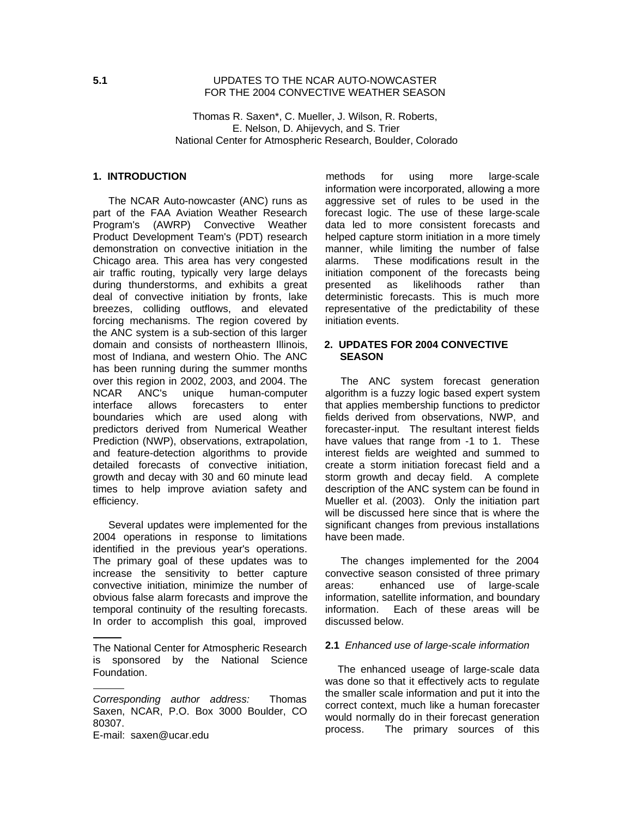### **5.1** UPDATES TO THE NCAR AUTO-NOWCASTER FOR THE 2004 CONVECTIVE WEATHER SEASON

Thomas R. Saxen\*, C. Mueller, J. Wilson, R. Roberts, E. Nelson, D. Ahijevych, and S. Trier National Center for Atmospheric Research, Boulder, Colorado

# **1. INTRODUCTION**

The NCAR Auto-nowcaster (ANC) runs as part of the FAA Aviation Weather Research Program's (AWRP) Convective Weather Product Development Team's (PDT) research demonstration on convective initiation in the Chicago area. This area has very congested air traffic routing, typically very large delays during thunderstorms, and exhibits a great deal of convective initiation by fronts, lake breezes, colliding outflows, and elevated forcing mechanisms. The region covered by the ANC system is a sub-section of this larger domain and consists of northeastern Illinois, most of Indiana, and western Ohio. The ANC has been running during the summer months over this region in 2002, 2003, and 2004. The NCAR ANC's unique human-computer interface allows forecasters to enter boundaries which are used along with predictors derived from Numerical Weather Prediction (NWP), observations, extrapolation, and feature-detection algorithms to provide detailed forecasts of convective initiation, growth and decay with 30 and 60 minute lead times to help improve aviation safety and efficiency.

Several updates were implemented for the 2004 operations in response to limitations identified in the previous year's operations. The primary goal of these updates was to increase the sensitivity to better capture convective initiation, minimize the number of obvious false alarm forecasts and improve the temporal continuity of the resulting forecasts. In order to accomplish this goal, improved

E-mail: saxen@ucar.edu

methods for using more large-scale information were incorporated, allowing a more aggressive set of rules to be used in the forecast logic. The use of these large-scale data led to more consistent forecasts and helped capture storm initiation in a more timely manner, while limiting the number of false alarms. These modifications result in the initiation component of the forecasts being presented as likelihoods rather than deterministic forecasts. This is much more representative of the predictability of these initiation events.

### **2. UPDATES FOR 2004 CONVECTIVE SEASON**

The ANC system forecast generation algorithm is a fuzzy logic based expert system that applies membership functions to predictor fields derived from observations, NWP, and forecaster-input. The resultant interest fields have values that range from -1 to 1. These interest fields are weighted and summed to create a storm initiation forecast field and a storm growth and decay field. A complete description of the ANC system can be found in Mueller et al. (2003). Only the initiation part will be discussed here since that is where the significant changes from previous installations have been made.

The changes implemented for the 2004 convective season consisted of three primary areas: enhanced use of large-scale information, satellite information, and boundary information. Each of these areas will be discussed below.

#### **2.1** Enhanced use of large-scale information

The enhanced useage of large-scale data was done so that it effectively acts to regulate the smaller scale information and put it into the correct context, much like a human forecaster would normally do in their forecast generation process. The primary sources of this

The National Center for Atmospheric Research is sponsored by the National Science Foundation.

Corresponding author address: Thomas Saxen, NCAR, P.O. Box 3000 Boulder, CO 80307.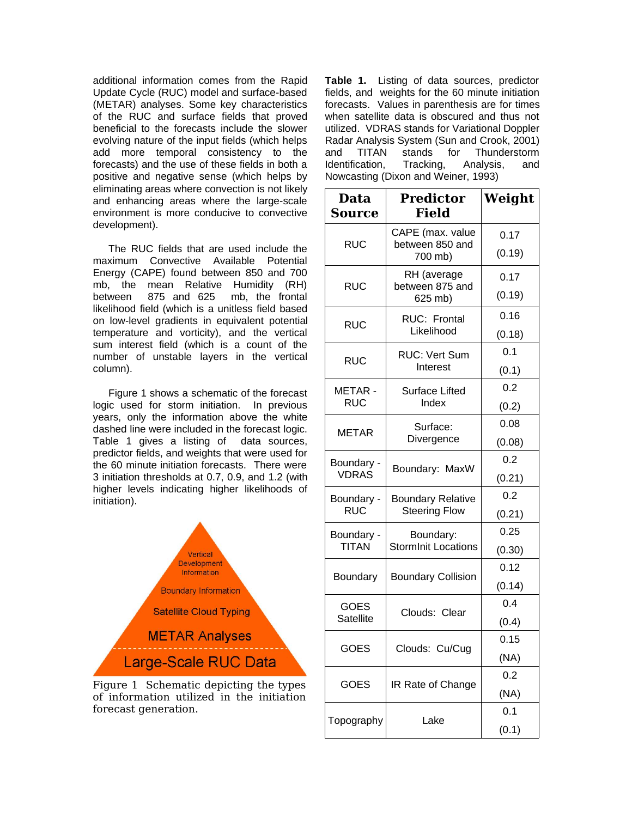additional information comes from the Rapid Update Cycle (RUC) model and surface-based (METAR) analyses. Some key characteristics of the RUC and surface fields that proved beneficial to the forecasts include the slower evolving nature of the input fields (which helps add more temporal consistency to the forecasts) and the use of these fields in both a positive and negative sense (which helps by eliminating areas where convection is not likely and enhancing areas where the large-scale environment is more conducive to convective development).

The RUC fields that are used include the maximum Convective Available Potential Energy (CAPE) found between 850 and 700 mb, the mean Relative Humidity (RH) between 875 and 625 mb, the frontal likelihood field (which is a unitless field based on low-level gradients in equivalent potential temperature and vorticity), and the vertical sum interest field (which is a count of the number of unstable layers in the vertical column).

Figure 1 shows a schematic of the forecast logic used for storm initiation. In previous years, only the information above the white dashed line were included in the forecast logic. Table 1 gives a listing of data sources, predictor fields, and weights that were used for the 60 minute initiation forecasts. There were 3 initiation thresholds at 0.7, 0.9, and 1.2 (with higher levels indicating higher likelihoods of initiation).



Figure 1 Schematic depicting the types of information utilized in the initiation forecast generation.

**Table 1.** Listing of data sources, predictor fields, and weights for the 60 minute initiation forecasts. Values in parenthesis are for times when satellite data is obscured and thus not utilized. VDRAS stands for Variational Doppler Radar Analysis System (Sun and Crook, 2001) and TITAN stands for Thunderstorm Identification, Tracking, Analysis, and Nowcasting (Dixon and Weiner, 1993)

| Data<br>Source                  | <b>Predictor</b><br><b>Field</b>                 | Weight |
|---------------------------------|--------------------------------------------------|--------|
| <b>RUC</b>                      | CAPE (max. value<br>between 850 and<br>700 mb)   | 0.17   |
|                                 |                                                  | (0.19) |
| <b>RUC</b>                      | RH (average<br>between 875 and<br>625 mb)        | 0.17   |
|                                 |                                                  | (0.19) |
| <b>RUC</b>                      | <b>RUC: Frontal</b><br>Likelihood                | 0.16   |
|                                 |                                                  | (0.18) |
| <b>RUC</b>                      | <b>RUC: Vert Sum</b><br>Interest                 | 0.1    |
|                                 |                                                  | (0.1)  |
| METAR-<br><b>RUC</b>            | <b>Surface Lifted</b><br>Index                   | 0.2    |
|                                 |                                                  | (0.2)  |
| <b>METAR</b>                    | Surface:<br>Divergence                           | 0.08   |
|                                 |                                                  | (0.08) |
| Boundary -<br><b>VDRAS</b>      | Boundary: MaxW                                   | 0.2    |
|                                 |                                                  | (0.21) |
| Boundary -<br><b>RUC</b>        | <b>Boundary Relative</b><br><b>Steering Flow</b> | 0.2    |
|                                 |                                                  | (0.21) |
| Boundary -<br><b>TITAN</b>      | Boundary:<br><b>StormInit Locations</b>          | 0.25   |
|                                 |                                                  | (0.30) |
| Boundary                        | <b>Boundary Collision</b>                        | 0.12   |
|                                 |                                                  | (0.14) |
| <b>GOES</b><br><b>Satellite</b> | Clouds: Clear                                    | 0.4    |
|                                 |                                                  | (0.4)  |
| <b>GOES</b>                     | Clouds: Cu/Cug                                   | 0.15   |
|                                 |                                                  | (NA)   |
| <b>GOES</b>                     | IR Rate of Change                                | 0.2    |
|                                 |                                                  | (NA)   |
| Topography                      | Lake                                             | 0.1    |
|                                 |                                                  | (0.1)  |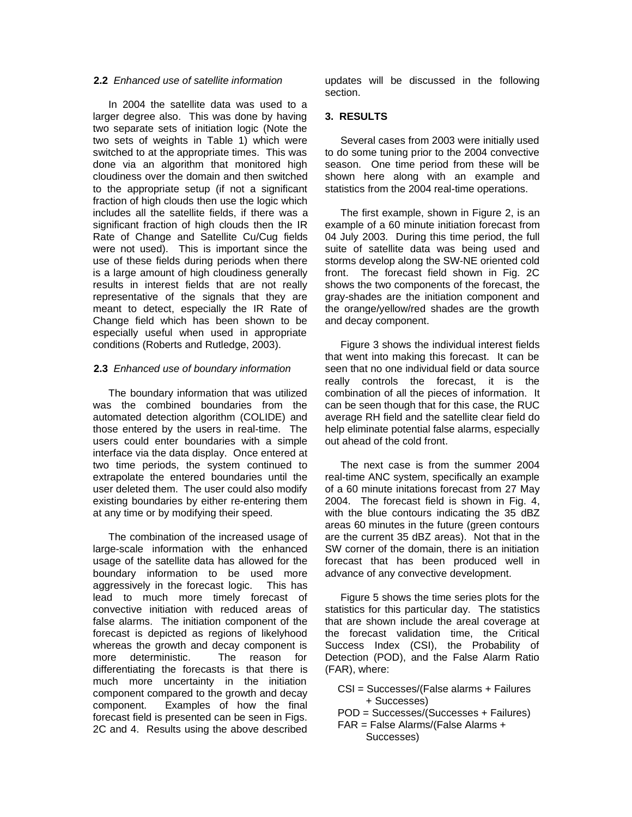# **2.2** Enhanced use of satellite information

In 2004 the satellite data was used to a larger degree also. This was done by having two separate sets of initiation logic (Note the two sets of weights in Table 1) which were switched to at the appropriate times. This was done via an algorithm that monitored high cloudiness over the domain and then switched to the appropriate setup (if not a significant fraction of high clouds then use the logic which includes all the satellite fields, if there was a significant fraction of high clouds then the IR Rate of Change and Satellite Cu/Cug fields were not used). This is important since the use of these fields during periods when there is a large amount of high cloudiness generally results in interest fields that are not really representative of the signals that they are meant to detect, especially the IR Rate of Change field which has been shown to be especially useful when used in appropriate conditions (Roberts and Rutledge, 2003).

### **2.3** Enhanced use of boundary information

The boundary information that was utilized was the combined boundaries from the automated detection algorithm (COLIDE) and those entered by the users in real-time. The users could enter boundaries with a simple interface via the data display. Once entered at two time periods, the system continued to extrapolate the entered boundaries until the user deleted them. The user could also modify existing boundaries by either re-entering them at any time or by modifying their speed.

The combination of the increased usage of large-scale information with the enhanced usage of the satellite data has allowed for the boundary information to be used more aggressively in the forecast logic. This has lead to much more timely forecast of convective initiation with reduced areas of false alarms. The initiation component of the forecast is depicted as regions of likelyhood whereas the growth and decay component is more deterministic. The reason for differentiating the forecasts is that there is much more uncertainty in the initiation component compared to the growth and decay component. Examples of how the final forecast field is presented can be seen in Figs. 2C and 4. Results using the above described updates will be discussed in the following section.

### **3. RESULTS**

Several cases from 2003 were initially used to do some tuning prior to the 2004 convective season. One time period from these will be shown here along with an example and statistics from the 2004 real-time operations.

The first example, shown in Figure 2, is an example of a 60 minute initiation forecast from 04 July 2003. During this time period, the full suite of satellite data was being used and storms develop along the SW-NE oriented cold front. The forecast field shown in Fig. 2C shows the two components of the forecast, the gray-shades are the initiation component and the orange/yellow/red shades are the growth and decay component.

Figure 3 shows the individual interest fields that went into making this forecast. It can be seen that no one individual field or data source really controls the forecast, it is the combination of all the pieces of information. It can be seen though that for this case, the RUC average RH field and the satellite clear field do help eliminate potential false alarms, especially out ahead of the cold front.

The next case is from the summer 2004 real-time ANC system, specifically an example of a 60 minute initations forecast from 27 May 2004. The forecast field is shown in Fig. 4, with the blue contours indicating the 35 dBZ areas 60 minutes in the future (green contours are the current 35 dBZ areas). Not that in the SW corner of the domain, there is an initiation forecast that has been produced well in advance of any convective development.

Figure 5 shows the time series plots for the statistics for this particular day. The statistics that are shown include the areal coverage at the forecast validation time, the Critical Success Index (CSI), the Probability of Detection (POD), and the False Alarm Ratio (FAR), where:

- CSI = Successes/(False alarms + Failures + Successes)
- POD = Successes/(Successes + Failures)
- FAR = False Alarms/(False Alarms +
	- Successes)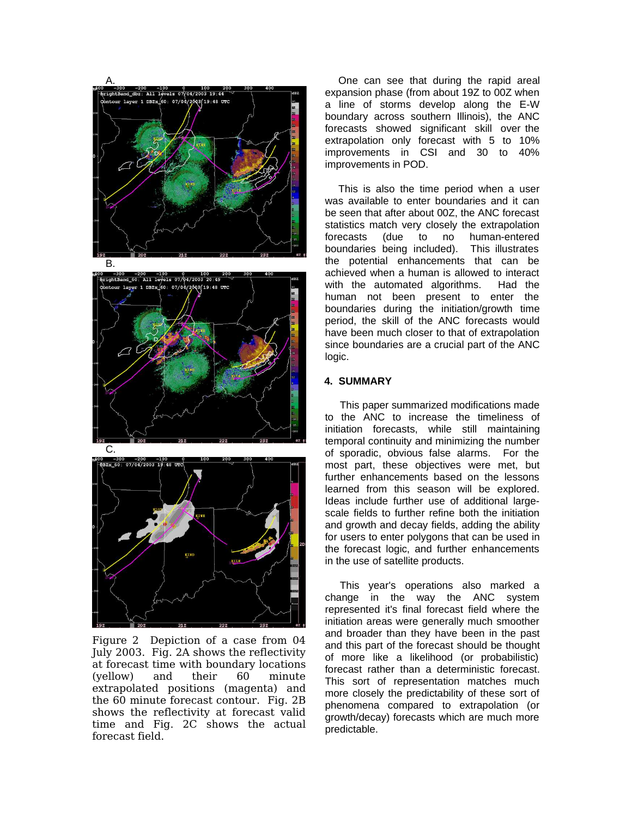

Figure 2 Depiction of a case from 04 July 2003. Fig. 2A shows the reflectivity at forecast time with boundary locations (yellow) and their 60 minute extrapolated positions (magenta) and the 60 minute forecast contour. Fig. 2B shows the reflectivity at forecast valid time and Fig. 2C shows the actual forecast field.

One can see that during the rapid areal expansion phase (from about 19Z to 00Z when a line of storms develop along the E-W boundary across southern Illinois), the ANC forecasts showed significant skill over the extrapolation only forecast with 5 to 10% improvements in CSI and 30 to 40% improvements in POD.

This is also the time period when a user was available to enter boundaries and it can be seen that after about 00Z, the ANC forecast statistics match very closely the extrapolation forecasts (due to no human-entered boundaries being included). This illustrates the potential enhancements that can be achieved when a human is allowed to interact with the automated algorithms. Had the human not been present to enter the boundaries during the initiation/growth time period, the skill of the ANC forecasts would have been much closer to that of extrapolation since boundaries are a crucial part of the ANC logic.

#### **4. SUMMARY**

This paper summarized modifications made to the ANC to increase the timeliness of initiation forecasts, while still maintaining temporal continuity and minimizing the number of sporadic, obvious false alarms. For the most part, these objectives were met, but further enhancements based on the lessons learned from this season will be explored. Ideas include further use of additional largescale fields to further refine both the initiation and growth and decay fields, adding the ability for users to enter polygons that can be used in the forecast logic, and further enhancements in the use of satellite products.

This year's operations also marked a change in the way the ANC system represented it's final forecast field where the initiation areas were generally much smoother and broader than they have been in the past and this part of the forecast should be thought of more like a likelihood (or probabilistic) forecast rather than a deterministic forecast. This sort of representation matches much more closely the predictability of these sort of phenomena compared to extrapolation (or growth/decay) forecasts which are much more predictable.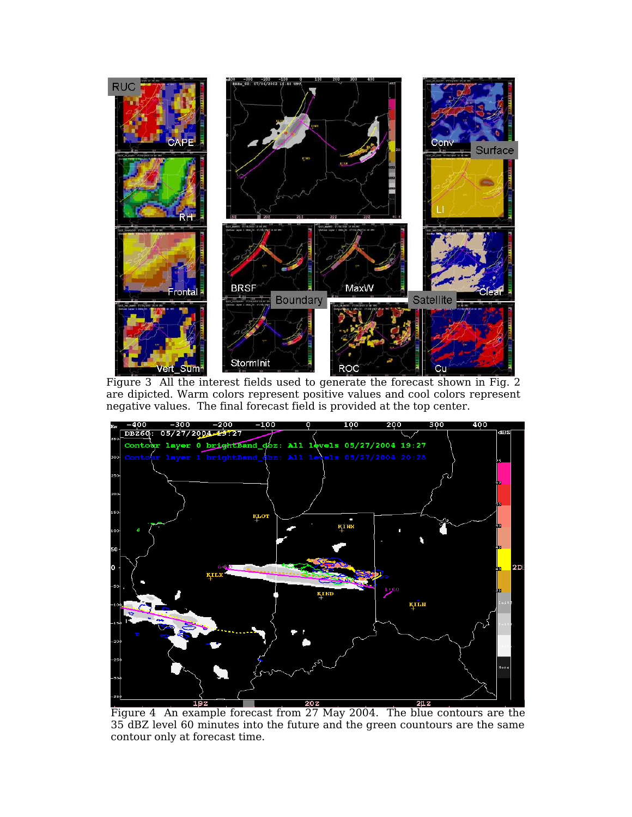

Figure 3 All the interest fields used to generate the forecast shown in Fig. 2 are dipicted. Warm colors represent positive values and cool colors represent negative values. The final forecast field is provided at the top center.



35 dBZ level 60 minutes into the future and the green countours are the same contour only at forecast time.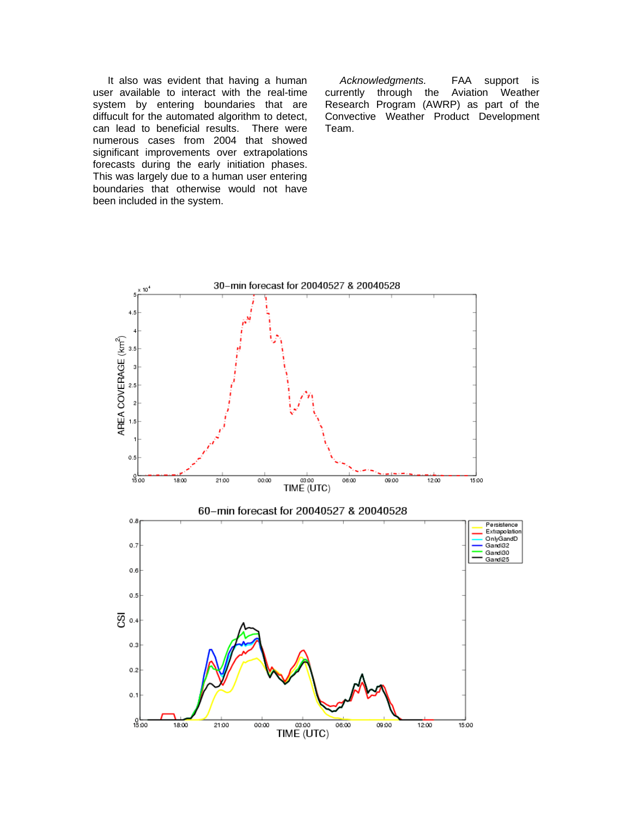It also was evident that having a human user available to interact with the real-time system by entering boundaries that are diffucult for the automated algorithm to detect, can lead to beneficial results. There were numerous cases from 2004 that showed significant improvements over extrapolations forecasts during the early initiation phases. This was largely due to a human user entering boundaries that otherwise would not have been included in the system.

Acknowledgments. FAA support is currently through the Aviation Weather Research Program (AWRP) as part of the Convective Weather Product Development Team.